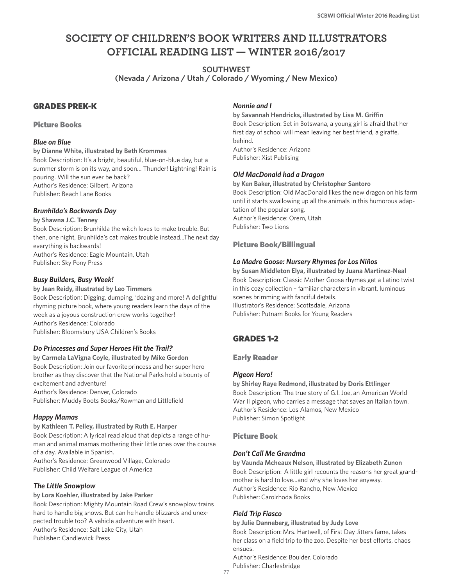# **SOCIETY OF CHILDREN'S BOOK WRITERS AND ILLUSTRATORS OFFICIAL READING LIST — WINTER 2016/2017**

**SOUTHWEST (Nevada / Arizona / Utah / Colorado / Wyoming / New Mexico)**

### GRADES PREK-K

#### Picture Books

#### *Blue on Blue*

**by Dianne White, illustrated by Beth Krommes** Book Description: It's a bright, beautiful, blue-on-blue day, but a summer storm is on its way, and soon… Thunder! Lightning! Rain is pouring. Will the sun ever be back? Author's Residence: Gilbert, Arizona Publisher: Beach Lane Books

#### *Brunhilda's Backwards Day*

**by Shawna J.C. Tenney**

Book Description: Brunhilda the witch loves to make trouble. But then, one night, Brunhilda's cat makes trouble instead...The next day everything is backwards! Author's Residence: Eagle Mountain, Utah Publisher: Sky Pony Press

#### *Busy Builders, Busy Week!*

**by Jean Reidy, illustrated by Leo Timmers** Book Description: Digging, dumping, 'dozing and more! A delightful rhyming picture book, where young readers learn the days of the week as a joyous construction crew works together! Author's Residence: Colorado Publisher: Bloomsbury USA Children's Books

#### *Do Princesses and Super Heroes Hit the Trail?*

**by Carmela LaVigna Coyle, illustrated by Mike Gordon** Book Description: Join our favoriteprincess and her super hero brother as they discover that the National Parks hold a bounty of excitement and adventure! Author's Residence: Denver, Colorado

Publisher: Muddy Boots Books/Rowman and Littlefield

#### *Happy Mamas*

# **by Kathleen T. Pelley, illustrated by Ruth E. Harper**

Book Description: A lyrical read aloud that depicts a range of human and animal mamas mothering their little ones over the course of a day. Available in Spanish.

Author's Residence: Greenwood Village, Colorado Publisher: Child Welfare League of America

#### *The Little Snowplow*

**by Lora Koehler, illustrated by Jake Parker** Book Description: Mighty Mountain Road Crew's snowplow trains hard to handle big snows. But can he handle blizzards and unexpected trouble too? A vehicle adventure with heart. Author's Residence: Salt Lake City, Utah

Publisher: Candlewick Press

#### *Nonnie and I*

**by Savannah Hendricks, illustrated by Lisa M. Griffin** Book Description: Set in Botswana, a young girl is afraid that her first day of school will mean leaving her best friend, a giraffe, behind. Author's Residence: Arizona Publisher: Xist Publising

#### *Old MacDonald had a Dragon*

**by Ken Baker, illustrated by Christopher Santoro** Book Description: Old MacDonald likes the new dragon on his farm until it starts swallowing up all the animals in this humorous adaptation of the popular song. Author's Residence: Orem, Utah Publisher: Two Lions

#### Picture Book/Billingual

#### *La Madre Goose: Nursery Rhymes for Los Niños*

**by Susan Middleton Elya, illustrated by Juana Martinez-Neal** Book Description: Classic Mother Goose rhymes get a Latino twist in this cozy collection – familiar characters in vibrant, luminous scenes brimming with fanciful details. Illustrator's Residence: Scottsdale, Arizona Publisher: Putnam Books for Young Readers

# GRADES 1-2

#### Early Reader

#### *Pigeon Hero!*

**by Shirley Raye Redmond, illustrated by Doris Ettlinger** Book Description: The true story of G.I. Joe, an American World War II pigeon, who carries a message that saves an Italian town. Author's Residence: Los Alamos, New Mexico Publisher: Simon Spotlight

#### Picture Book

#### *Don't Call Me Grandma*

**by Vaunda Mcheaux Nelson, illustrated by Elizabeth Zunon** Book Description: A little girl recounts the reasons her great grandmother is hard to love…and why she loves her anyway. Author's Residence: Rio Rancho, New Mexico Publisher: Carolrhoda Books

### *Field Trip Fiasco*

**by Julie Danneberg, illustrated by Judy Love** Book Description: Mrs. Hartwell, of First Day Jitters fame, takes her class on a field trip to the zoo. Despite her best efforts, chaos ensues.

Author's Residence: Boulder, Colorado Publisher: Charlesbridge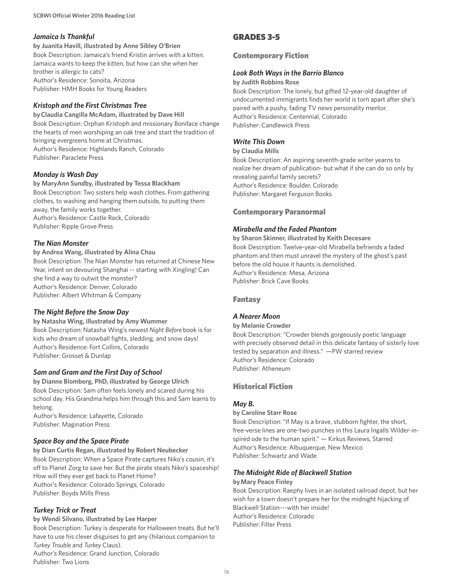#### *Jamaica Is Thankful*

**by Juanita Havill, illustrated by Anne Sibley O'Brien** Book Description: Jamaica's friend Kristin arrives with a kitten. Jamaica wants to keep the kitten, but how can she when her brother is allergic to cats? Author's Residence: Sonoita, Arizona Publisher: HMH Books for Young Readers

#### *Kristoph and the First Christmas Tree*

**by Claudia Cangilla McAdam, illustrated by Dave Hill** Book Description: Orphan Kristoph and missionary Boniface change the hearts of men worshiping an oak tree and start the tradition of bringing evergreens home at Christmas. Author's Residence: Highlands Ranch, Colorado

Publisher: Paraclete Press

#### *Monday is Wash Day*

**by MaryAnn Sundby, illustrated by Tessa Blackham** Book Description: Two sisters help wash clothes. From gathering clothes, to washing and hanging them outside, to putting them away, the family works together. Author's Residence: Castle Rock, Colorado Publisher: Ripple Grove Press

#### *The Nian Monster*

**by Andrea Wang, illustrated by Alina Chau** Book Description: The Nian Monster has returned at Chinese New Year, intent on devouring Shanghai -- starting with Xingling! Can she find a way to outwit the monster? Author's Residence: Denver, Colorado Publisher: Albert Whitman & Company

### *The Night Before the Snow Day*

**by Natasha Wing, illustrated by Amy Wummer** Book Description: Natasha Wing's newest *Night Before* book is for kids who dream of snowball fights, sledding, and snow days! Author's Residence: Fort Collins, Colorado Publisher: Grosset & Dunlap

### *Sam and Gram and the First Day of School*

**by Dianne Blomberg, PhD, illustrated by George Ulrich** Book Description: Sam often feels lonely and scared during his school day. His Grandma helps him through this and Sam learns to belong.

Author's Residence: Lafayette, Colorado Publisher: Magination Press

#### *Space Boy and the Space Pirate*

**by Dian Curtis Regan, illustrated by Robert Neubecker** Book Description: When a Space Pirate captures Niko's cousin, it's off to Planet Zorg to save her. But the pirate steals Niko's spaceship! How will they ever get back to Planet Home? Author's Residence: Colorado Springs, Colorado Publisher: Boyds Mills Press

#### *Turkey Trick or Treat*

**by Wendi Silvano, illustrated by Lee Harper** Book Description: Turkey is desperate for Halloween treats. But he'll have to use his clever disguises to get any (hilarious companion to *Turkey Trouble* and *Turkey* Claus).

Author's Residence: Grand Junction, Colorado Publisher: Two Lions

## GRADES 3-5

#### Contemporary Fiction

#### *Look Both Ways in the Barrio Blanco*

#### **by Judith Robbins Rose**

Book Description: The lonely, but gifted 12-year-old daughter of undocumented immigrants finds her world is torn apart after she's paired with a pushy, fading TV news personality mentor. Author's Residence: Centennial, Colorado Publisher: Candlewick Press

#### *Write This Down*

#### **by Claudia Mills**

Book Description: An aspiring seventh-grade writer yearns to realize her dream of publication- but what if she can do so only by revealing painful family secrets? Author's Residence: Boulder, Colorado Publisher: Margaret Ferguson Books

#### Contemporary Paranormal

#### *Mirabella and the Faded Phantom*

**by Sharon Skinner, illustrated by Keith Decesare** Book Description: Twelve-year-old Mirabella befriends a faded phantom and then must unravel the mystery of the ghost's past before the old house it haunts is demolished. Author's Residence: Mesa, Arizona Publisher: Brick Cave Books

#### Fantasy

### *A Nearer Moon*

#### **by Melanie Crowder**

Book Description: "Crowder blends gorgeously poetic language with precisely observed detail in this delicate fantasy of sisterly love tested by separation and illness." —PW starred review Author's Residence: Colorado Publisher: Atheneum

### Historical Fiction

### *May B.*

#### **by Caroline Starr Rose**

Book Description: "If May is a brave, stubborn fighter, the short, free-verse lines are one-two punches in this Laura Ingalls Wilder-inspired ode to the human spirit." — Kirkus Reviews, Starred Author's Residence: Albuquerque, New Mexico Publisher: Schwartz and Wade

#### *The Midnight Ride of Blackwell Station*

#### **by Mary Peace Finley**

Book Description: Raephy lives in an isolated railroad depot, but her wish for a town doesn't prepare her for the midnight hijacking of Blackwell Station---with her inside! Author's Residence: Colorado Publisher: Filter Press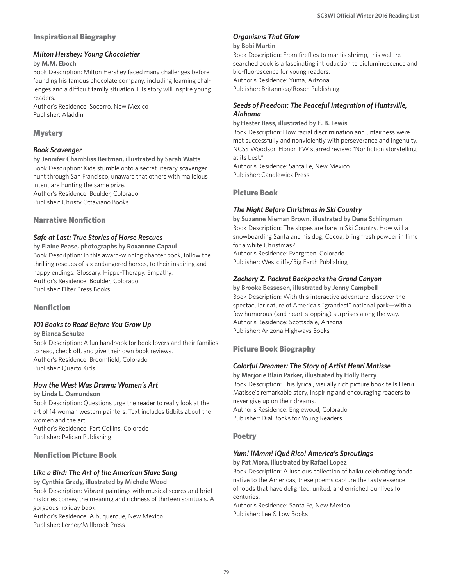### Inspirational Biography

#### *Milton Hershey: Young Chocolatier*

#### **by M.M. Eboch**

Book Description: Milton Hershey faced many challenges before founding his famous chocolate company, including learning challenges and a difficult family situation. His story will inspire young readers.

Author's Residence: Socorro, New Mexico Publisher: Aladdin

### **Mystery**

#### *Book Scavenger*

**by Jennifer Chambliss Bertman, illustrated by Sarah Watts** Book Description: Kids stumble onto a secret literary scavenger hunt through San Francisco, unaware that others with malicious intent are hunting the same prize. Author's Residence: Boulder, Colorado

Publisher: Christy Ottaviano Books

### Narrative Nonfiction

### *Safe at Last: True Stories of Horse Rescues*

**by Elaine Pease, photographs by Roxannne Capaul** Book Description: In this award-winning chapter book, follow the thrilling rescues of six endangered horses, to their inspiring and happy endings. Glossary. Hippo-Therapy. Empathy. Author's Residence: Boulder, Colorado Publisher: Filter Press Books

### Nonfiction

### *101 Books to Read Before You Grow Up*

**by Bianca Schulze** Book Description: A fun handbook for book lovers and their families to read, check off, and give their own book reviews. Author's Residence: Broomfield, Colorado Publisher: Quarto Kids

### *How the West Was Drawn: Women's Art*

**by Linda L. Osmundson**

Book Description: Questions urge the reader to really look at the art of 14 woman western painters. Text includes tidbits about the women and the art. Author's Residence: Fort Collins, Colorado Publisher: Pelican Publishing

### Nonfiction Picture Book

### *Like a Bird: The Art of the American Slave Song*

**by Cynthia Grady, illustrated by Michele Wood** Book Description: Vibrant paintings with musical scores and brief histories convey the meaning and richness of thirteen spirituals. A gorgeous holiday book.

Author's Residence: Albuquerque, New Mexico Publisher: Lerner/Millbrook Press

### *Organisms That Glow*

#### **by Bobi Martin**

Book Description: From fireflies to mantis shrimp, this well-researched book is a fascinating introduction to bioluminescence and bio-fluorescence for young readers. Author's Residence: Yuma, Arizona Publisher: Britannica/Rosen Publishing

#### *Seeds of Freedom: The Peaceful Integration of Huntsville, Alabama*

**by Hester Bass, illustrated by E. B. Lewis**

Book Description: How racial discrimination and unfairness were met successfully and nonviolently with perseverance and ingenuity. NCSS Woodson Honor. PW starred review: "Nonfiction storytelling at its best."

Author's Residence: Santa Fe, New Mexico Publisher: Candlewick Press

### Picture Book

### *The Night Before Christmas in Ski Country*

**by Suzanne Nieman Brown, illustrated by Dana Schlingman** Book Description: The slopes are bare in Ski Country. How will a snowboarding Santa and his dog, Cocoa, bring fresh powder in time for a white Christmas? Author's Residence: Evergreen, Colorado Publisher: Westcliffe/Big Earth Publishing

### *Zachary Z. Packrat Backpacks the Grand Canyon*

**by Brooke Bessesen, illustrated by Jenny Campbell** Book Description: With this interactive adventure, discover the spectacular nature of America's "grandest" national park—with a few humorous (and heart-stopping) surprises along the way. Author's Residence: Scottsdale, Arizona Publisher: Arizona Highways Books

### Picture Book Biography

### *Colorful Dreamer: The Story of Artist Henri Matisse*

**by Marjorie Blain Parker, illustrated by Holly Berry** Book Description: This lyrical, visually rich picture book tells Henri Matisse's remarkable story, inspiring and encouraging readers to never give up on their dreams. Author's Residence: Englewood, Colorado Publisher: Dial Books for Young Readers

#### Poetry

### *Yum! ¡Mmm! ¡Qué Rico! America's Sproutings*

**by Pat Mora, illustrated by Rafael Lopez**

Book Description: A luscious collection of haiku celebrating foods native to the Americas, these poems capture the tasty essence of foods that have delighted, united, and enriched our lives for centuries.

Author's Residence: Santa Fe, New Mexico Publisher: Lee & Low Books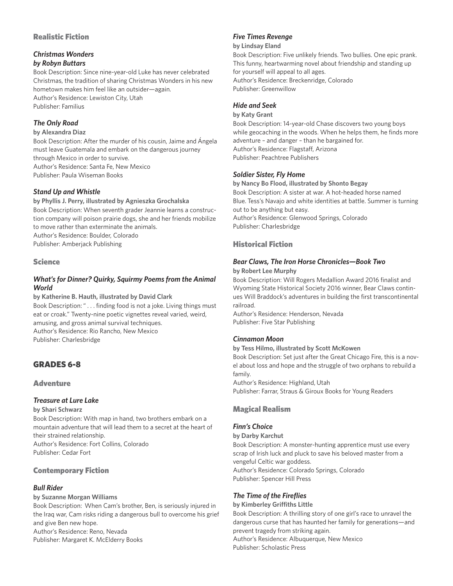### Realistic Fiction

#### *Christmas Wonders by Robyn Buttars*

Book Description: Since nine-year-old Luke has never celebrated Christmas, the tradition of sharing Christmas Wonders in his new hometown makes him feel like an outsider—again. Author's Residence: Lewiston City, Utah Publisher: Familius

# *The Only Road*

#### **by Alexandra Diaz**

Book Description: After the murder of his cousin, Jaime and Ángela must leave Guatemala and embark on the dangerous journey through Mexico in order to survive. Author's Residence: Santa Fe, New Mexico Publisher: Paula Wiseman Books

### *Stand Up and Whistle*

### **by Phyllis J. Perry, illustrated by Agnieszka Grochalska** Book Description: When seventh grader Jeannie learns a construction company will poison prairie dogs, she and her friends mobilize to move rather than exterminate the animals. Author's Residence: Boulder, Colorado

Publisher: Amberjack Publishing

### **Science**

### *What's for Dinner? Quirky, Squirmy Poems from the Animal World*

**by Katherine B. Hauth, illustrated by David Clark** Book Description: " . . . finding food is not a joke. Living things must eat or croak." Twenty-nine poetic vignettes reveal varied, weird, amusing, and gross animal survival techniques. Author's Residence: Rio Rancho, New Mexico Publisher: Charlesbridge

# GRADES 6-8

### **Adventure**

### *Treasure at Lure Lake*

**by Shari Schwarz**

Book Description: With map in hand, two brothers embark on a mountain adventure that will lead them to a secret at the heart of their strained relationship. Author's Residence: Fort Collins, Colorado Publisher: Cedar Fort

### Contemporary Fiction

### *Bull Rider*

#### **by Suzanne Morgan Williams**

Book Description: When Cam's brother, Ben, is seriously injured in the Iraq war, Cam risks riding a dangerous bull to overcome his grief and give Ben new hope. Author's Residence: Reno, Nevada Publisher: Margaret K. McElderry Books

### *Five Times Revenge*

#### **by Lindsay Eland**

Book Description: Five unlikely friends. Two bullies. One epic prank. This funny, heartwarming novel about friendship and standing up for yourself will appeal to all ages. Author's Residence: Breckenridge, Colorado Publisher: Greenwillow

### *Hide and Seek*

#### **by Katy Grant**

Book Description: 14-year-old Chase discovers two young boys while geocaching in the woods. When he helps them, he finds more adventure – and danger – than he bargained for. Author's Residence: Flagstaff, Arizona Publisher: Peachtree Publishers

### *Soldier Sister, Fly Home*

**by Nancy Bo Flood, illustrated by Shonto Begay** Book Description: A sister at war. A hot-headed horse named Blue. Tess's Navajo and white identities at battle. Summer is turning out to be anything but easy. Author's Residence: Glenwood Springs, Colorado Publisher: Charlesbridge

### Historical Fiction

### *Bear Claws, The Iron Horse Chronicles—Book Two*

#### **by Robert Lee Murphy**

Book Description: Will Rogers Medallion Award 2016 finalist and Wyoming State Historical Society 2016 winner, Bear Claws continues Will Braddock's adventures in building the first transcontinental railroad.

Author's Residence: Henderson, Nevada Publisher: Five Star Publishing

### *Cinnamon Moon*

#### **by Tess Hilmo, illustrated by Scott McKowen**

Book Description: Set just after the Great Chicago Fire, this is a novel about loss and hope and the struggle of two orphans to rebuild a family.

Author's Residence: Highland, Utah Publisher: Farrar, Straus & Giroux Books for Young Readers

### Magical Realism

### *Finn's Choice*

#### **by Darby Karchut**

Book Description: A monster-hunting apprentice must use every scrap of Irish luck and pluck to save his beloved master from a vengeful Celtic war goddess. Author's Residence: Colorado Springs, Colorado Publisher: Spencer Hill Press

### *The Time of the Fireflies*

**by Kimberley Griffiths Little** Book Description: A thrilling story of one girl's race to unravel the dangerous curse that has haunted her family for generations—and prevent tragedy from striking again. Author's Residence: Albuquerque, New Mexico Publisher: Scholastic Press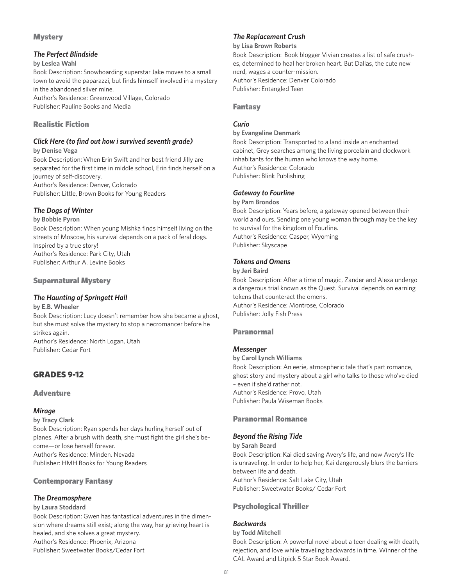### **Mystery**

### *The Perfect Blindside*

#### **by Leslea Wahl**

Book Description: Snowboarding superstar Jake moves to a small town to avoid the paparazzi, but finds himself involved in a mystery in the abandoned silver mine. Author's Residence: Greenwood Village, Colorado

Publisher: Pauline Books and Media

### Realistic Fiction

### *Click Here (to find out how i survived seventh grade)*

**by Denise Vega**

Book Description: When Erin Swift and her best friend Jilly are separated for the first time in middle school, Erin finds herself on a journey of self-discovery.

Author's Residence: Denver, Colorado Publisher: Little, Brown Books for Young Readers

### *The Dogs of Winter*

#### **by Bobbie Pyron**

Book Description: When young Mishka finds himself living on the streets of Moscow, his survival depends on a pack of feral dogs. Inspired by a true story! Author's Residence: Park City, Utah Publisher: Arthur A. Levine Books

### Supernatural Mystery

### *The Haunting of Springett Hall*

**by E.B. Wheeler** Book Description: Lucy doesn't remember how she became a ghost, but she must solve the mystery to stop a necromancer before he strikes again. Author's Residence: North Logan, Utah Publisher: Cedar Fort

# GRADES 9-12

#### **Adventure**

### *Mirage*

**by Tracy Clark** 

Book Description: Ryan spends her days hurling herself out of planes. After a brush with death, she must fight the girl she's become—or lose herself forever. Author's Residence: Minden, Nevada Publisher: HMH Books for Young Readers

### Contemporary Fantasy

### *The Dreamosphere*

#### **by Laura Stoddard**

Book Description: Gwen has fantastical adventures in the dimension where dreams still exist; along the way, her grieving heart is healed, and she solves a great mystery. Author's Residence: Phoenix, Arizona Publisher: Sweetwater Books/Cedar Fort

### *The Replacement Crush*

#### **by Lisa Brown Roberts**

Book Description: Book blogger Vivian creates a list of safe crushes, determined to heal her broken heart. But Dallas, the cute new nerd, wages a counter-mission. Author's Residence: Denver Colorado Publisher: Entangled Teen

#### Fantasy

### *Curio*

#### **by Evangeline Denmark**

Book Description: Transported to a land inside an enchanted cabinet, Grey searches among the living porcelain and clockwork inhabitants for the human who knows the way home. Author's Residence: Colorado Publisher: Blink Publishing

#### *Gateway to Fourline*

#### **by Pam Brondos**

Book Description: Years before, a gateway opened between their world and ours. Sending one young woman through may be the key to survival for the kingdom of Fourline. Author's Residence: Casper, Wyoming Publisher: Skyscape

### *Tokens and Omens*

#### **by Jeri Baird**

Book Description: After a time of magic, Zander and Alexa undergo a dangerous trial known as the Quest. Survival depends on earning tokens that counteract the omens. Author's Residence: Montrose, Colorado Publisher: Jolly Fish Press

### Paranormal

### *Messenger*

**by Carol Lynch Williams** Book Description: An eerie, atmospheric tale that's part romance, ghost story and mystery about a girl who talks to those who've died – even if she'd rather not. Author's Residence: Provo, Utah Publisher: Paula Wiseman Books

### Paranormal Romance

#### *Beyond the Rising Tide*

#### **by Sarah Beard**

Book Description: Kai died saving Avery's life, and now Avery's life is unraveling. In order to help her, Kai dangerously blurs the barriers between life and death. Author's Residence: Salt Lake City, Utah Publisher: Sweetwater Books/ Cedar Fort

### Psychological Thriller

### *Backwards*

#### **by Todd Mitchell**

Book Description: A powerful novel about a teen dealing with death, rejection, and love while traveling backwards in time. Winner of the CAL Award and Litpick 5 Star Book Award.